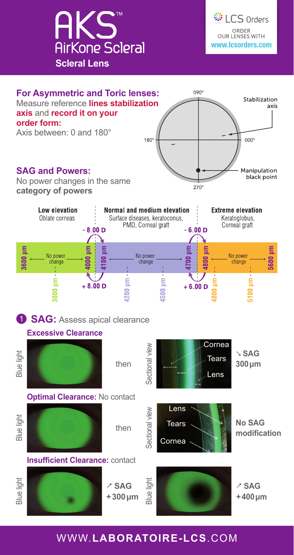





## WWW.**LABORATOIRE-LCS**.COM